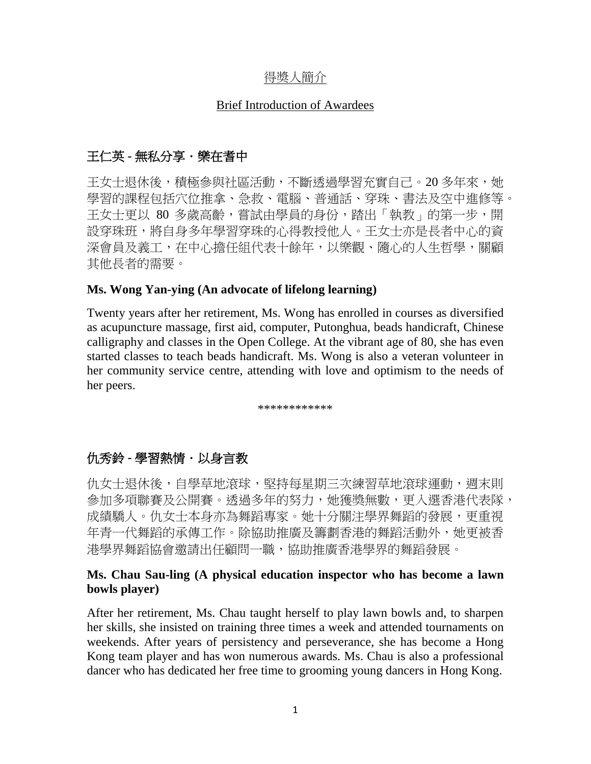## 得奬人簡介

#### Brief Introduction of Awardees

# 王仁英 **-** 無私分享.樂在耆中

王女士退休後,積極參與社區活動,不斷透過學習充實自己。20 多年來,她 學習的課程包括穴位推拿、急救、電腦、普通話、穿珠、書法及空中進修等。 王女士更以 80 多歲高齡,嘗試由學員的身份,踏出「執教」的第一步,開 設穿珠班,將自身多年學習穿珠的心得教授他人。王女士亦是長者中心的資 深會員及義工,在中心擔任組代表十餘年,以樂觀、隨心的人生哲學,關顧 其他長者的需要。

#### **Ms. Wong Yan-ying (An advocate of lifelong learning)**

Twenty years after her retirement, Ms. Wong has enrolled in courses as diversified as acupuncture massage, first aid, computer, Putonghua, beads handicraft, Chinese calligraphy and classes in the Open College. At the vibrant age of 80, she has even started classes to teach beads handicraft. Ms. Wong is also a veteran volunteer in her community service centre, attending with love and optimism to the needs of her peers.

\*\*\*\*\*\*\*\*\*\*\*\*

# 仇秀鈴 **-** 學習熱情.以身言教

仇女十退休後,自學草地滾球,堅持每星期三次練習草地滾球運動,週末則 參加多項聯賽及公開賽。透過多年的努力,她獲獎無數,更入選香港代表隊, 成績驕人。仇女士本身亦為舞蹈專家。她十分關注學界舞蹈的發展,更重視 年青一代舞蹈的承傳工作。除協助推廣及籌劃香港的舞蹈活動外,她更被香 港學界舞蹈協會邀請出任顧問一職,協助推廣香港學界的舞蹈發展。

### **Ms. Chau Sau-ling (A physical education inspector who has become a lawn bowls player)**

After her retirement, Ms. Chau taught herself to play lawn bowls and, to sharpen her skills, she insisted on training three times a week and attended tournaments on weekends. After years of persistency and perseverance, she has become a Hong Kong team player and has won numerous awards. Ms. Chau is also a professional dancer who has dedicated her free time to grooming young dancers in Hong Kong.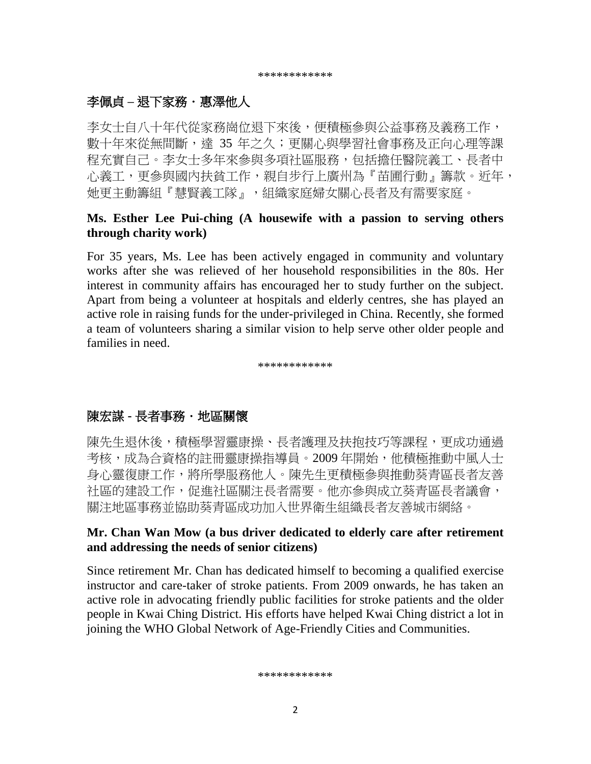\*\*\*\*\*\*\*\*\*\*\*\*

## 李佩貞 – 退下家務・惠澤他人

李女士自八十年代從家務崗位退下來後,便積極參與公益事務及義務工作, 數十年來從無間斷,達 35 年之久;更關心與學習社會事務及正向心理等課 程充實自己。李女士多年來參與多項社區服務,包括擔任醫院義工、長者中 心義工,更參與國內扶貧工作,親自步行上廣州為『苗圃行動』籌款。近年, 她更主動籌組『慧賢義工隊』,組織家庭婦女關心長者及有需要家庭。

#### **Ms. Esther Lee Pui-ching (A housewife with a passion to serving others through charity work)**

For 35 years, Ms. Lee has been actively engaged in community and voluntary works after she was relieved of her household responsibilities in the 80s. Her interest in community affairs has encouraged her to study further on the subject. Apart from being a volunteer at hospitals and elderly centres, she has played an active role in raising funds for the under-privileged in China. Recently, she formed a team of volunteers sharing a similar vision to help serve other older people and families in need.

\*\*\*\*\*\*\*\*\*\*\*\*

# 陳宏謀 - 長者事務・地區關懷

陳先生退休後,積極學習靈康操、長者護理及扶抱技巧等課程,更成功通過 考核,成為合資格的註冊靈康操指導員。2009年開始,他積極推動中風人士 身心靈復康工作,將所學服務他人。陳先生更積極參與推動葵青區長者友善 社區的建設工作,促進社區關注長者需要。他亦參與成立葵青區長者議會, 關注地區事務並協助葵青區成功加入世界衛生組織長者友善城市網絡。

#### **Mr. Chan Wan Mow (a bus driver dedicated to elderly care after retirement and addressing the needs of senior citizens)**

Since retirement Mr. Chan has dedicated himself to becoming a qualified exercise instructor and care-taker of stroke patients. From 2009 onwards, he has taken an active role in advocating friendly public facilities for stroke patients and the older people in Kwai Ching District. His efforts have helped Kwai Ching district a lot in joining the WHO Global Network of Age-Friendly Cities and Communities.

\*\*\*\*\*\*\*\*\*\*\*\*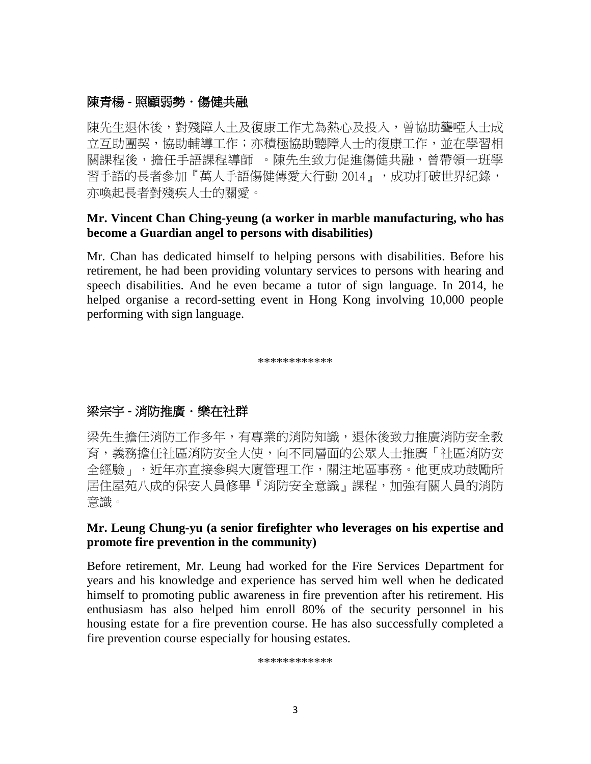## 陳青楊 - 照顧弱勢・傷健共融

陳先生退休後,對殘障人土及復康工作尤為熱心及投入,曾協助聾啞人士成 立互助團契,協助輔導工作;亦積極協助聽障人士的復康工作,並在學習相 關課程後,擔任手語課程導師 。陳先生致力促進傷健共融,曾帶領一班學 習手語的長者參加『萬人手語傷健傳愛大行動 2014』,成功打破世界紀錄, 亦喚起長者對殘疾人士的關愛。

#### **Mr. Vincent Chan Ching-yeung (a worker in marble manufacturing, who has become a Guardian angel to persons with disabilities)**

Mr. Chan has dedicated himself to helping persons with disabilities. Before his retirement, he had been providing voluntary services to persons with hearing and speech disabilities. And he even became a tutor of sign language. In 2014, he helped organise a record-setting event in Hong Kong involving 10,000 people performing with sign language.

\*\*\*\*\*\*\*\*\*\*\*\*

# 梁宗宇 **-** 消防推廣.樂在社群

梁先生擔任消防工作多年,有專業的消防知識,退休後致力推廣消防安全教 育,義務擔任社區消防安全大使,向不同層面的公眾人士推廣「社區消防安 全經驗」,近年亦直接參與大廈管理工作,關注地區事務。他更成功鼓勵所 居住屋苑八成的保安人員修畢『消防安全意識』課程,加強有關人員的消防 意識。

#### **Mr. Leung Chung-yu (a senior firefighter who leverages on his expertise and promote fire prevention in the community)**

Before retirement, Mr. Leung had worked for the Fire Services Department for years and his knowledge and experience has served him well when he dedicated himself to promoting public awareness in fire prevention after his retirement. His enthusiasm has also helped him enroll 80% of the security personnel in his housing estate for a fire prevention course. He has also successfully completed a fire prevention course especially for housing estates.

\*\*\*\*\*\*\*\*\*\*\*\*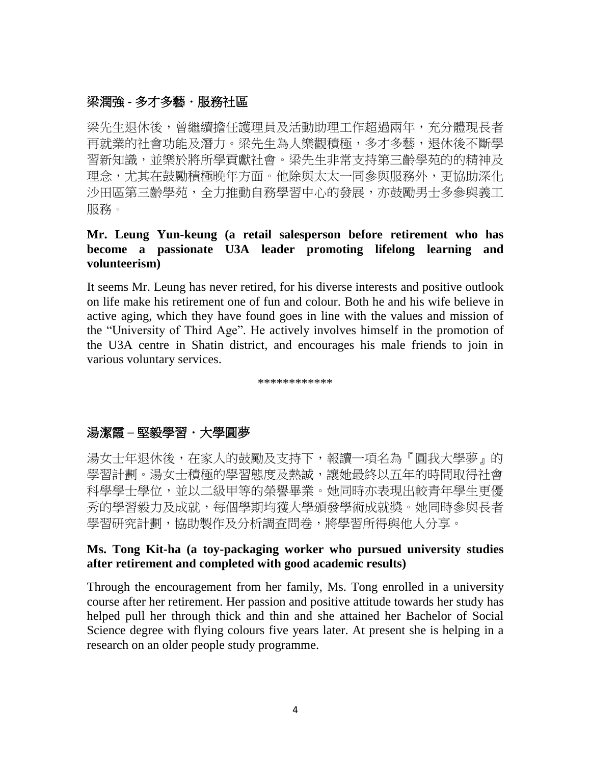## 梁潤強 **-** 多才多藝.服務社區

梁先生退休後, 曾繼續擔任護理員及活動助理工作超過兩年, 充分體現長者 再就業的社會功能及潛力。梁先生為人樂觀積極,多才多藝,退休後不斷學 習新知識,並樂於將所學貢獻社會。梁先生非常支持第三齡學苑的的精神及 理念,尤其在鼓勵積極晚年方面。他除與太太一同參與服務外,更協助深化 沙田區第三齡學苑,全力推動自務學習中心的發展,亦鼓勵男士多參與義工 服務。

#### **Mr. Leung Yun-keung (a retail salesperson before retirement who has become a passionate U3A leader promoting lifelong learning and volunteerism)**

It seems Mr. Leung has never retired, for his diverse interests and positive outlook on life make his retirement one of fun and colour. Both he and his wife believe in active aging, which they have found goes in line with the values and mission of the "University of Third Age". He actively involves himself in the promotion of the U3A centre in Shatin district, and encourages his male friends to join in various voluntary services.

\*\*\*\*\*\*\*\*\*\*\*\*

# 湯潔霞 **–** 堅毅學習.大學圓夢

湯女士年退休後,在家人的鼓勵及支持下,報讀一項名為『圓我大學夢』的 學習計劃。湯女士積極的學習態度及熱誠,讓她最終以五年的時間取得社會 科學學士學位,並以二級甲等的榮譽畢業。她同時亦表現出較青年學生更優 秀的學習毅力及成就,每個學期均獲大學頒發學術成就獎。她同時參與長者 學習研究計劃,協助製作及分析調查問卷,將學習所得與他人分享。

#### **Ms. Tong Kit-ha (a toy-packaging worker who pursued university studies after retirement and completed with good academic results)**

Through the encouragement from her family, Ms. Tong enrolled in a university course after her retirement. Her passion and positive attitude towards her study has helped pull her through thick and thin and she attained her Bachelor of Social Science degree with flying colours five years later. At present she is helping in a research on an older people study programme.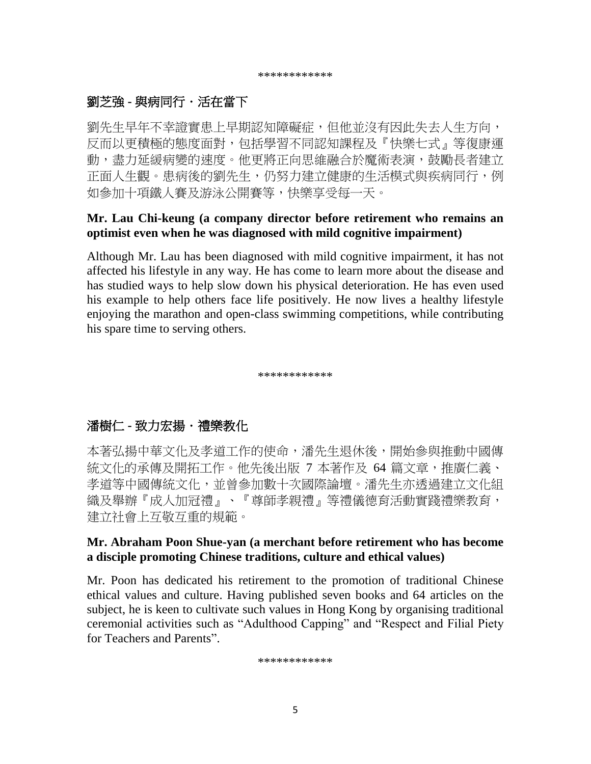# 劉芝強 **-** 與病同行.活在當下

劉先生早年不幸證實患上早期認知障礙症,但他並沒有因此失去人生方向, 反而以更積極的態度面對,包括學習不同認知課程及『快樂七式』等復康運 動,盡力延緩病變的速度。他更將正向思維融合於魔術表演,鼓勵長者建立 正面人生觀。患病後的劉先生,仍努力建立健康的生活模式與疾病同行,例 如參加十項鐵人賽及游泳公開賽等,快樂享受每一天。

#### **Mr. Lau Chi-keung (a company director before retirement who remains an optimist even when he was diagnosed with mild cognitive impairment)**

Although Mr. Lau has been diagnosed with mild cognitive impairment, it has not affected his lifestyle in any way. He has come to learn more about the disease and has studied ways to help slow down his physical deterioration. He has even used his example to help others face life positively. He now lives a healthy lifestyle enjoying the marathon and open-class swimming competitions, while contributing his spare time to serving others.

\*\*\*\*\*\*\*\*\*\*\*

# 潘樹仁 **-** 致力宏揚.禮樂教化

本著弘揚中華文化及孝道工作的使命,潘先生退休後,開始參與推動中國傳 統文化的承傳及開拓工作。他先後出版 7 本著作及 64 篇文章,推廣仁義、 孝道等中國傳統文化,並曾參加數十次國際論壇。潘先生亦透過建立文化組 織及舉辦『成人加冠禮』、『尊師孝親禮』等禮儀德育活動實踐禮樂教育, 建立社會上互敬互重的規範。

#### **Mr. Abraham Poon Shue-yan (a merchant before retirement who has become a disciple promoting Chinese traditions, culture and ethical values)**

Mr. Poon has dedicated his retirement to the promotion of traditional Chinese ethical values and culture. Having published seven books and 64 articles on the subject, he is keen to cultivate such values in Hong Kong by organising traditional ceremonial activities such as "Adulthood Capping" and "Respect and Filial Piety for Teachers and Parents".

\*\*\*\*\*\*\*\*\*\*\*\*